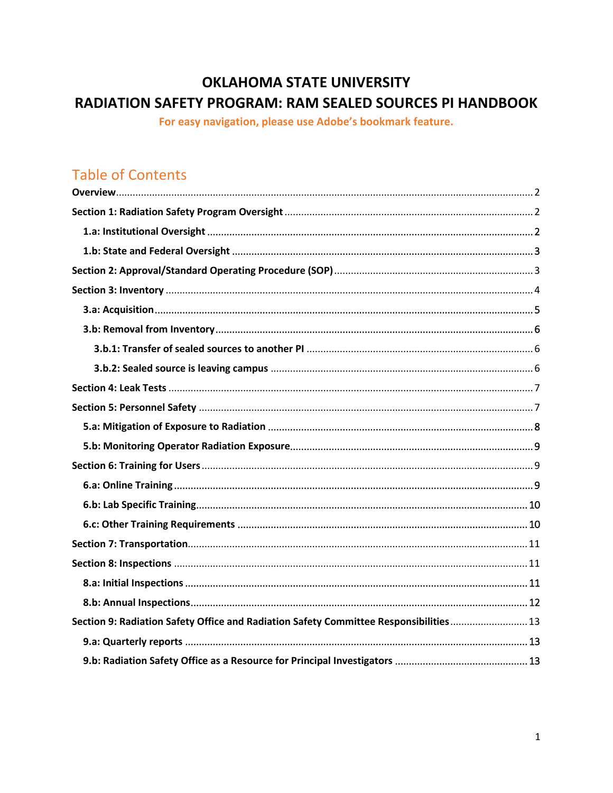# **OKLAHOMA STATE UNIVERSITY RADIATION SAFETY PROGRAM: RAM SEALED SOURCES PI HANDBOOK**

For easy navigation, please use Adobe's bookmark feature.

# **Table of Contents**

| Section 9: Radiation Safety Office and Radiation Safety Committee Responsibilities 13 |
|---------------------------------------------------------------------------------------|
|                                                                                       |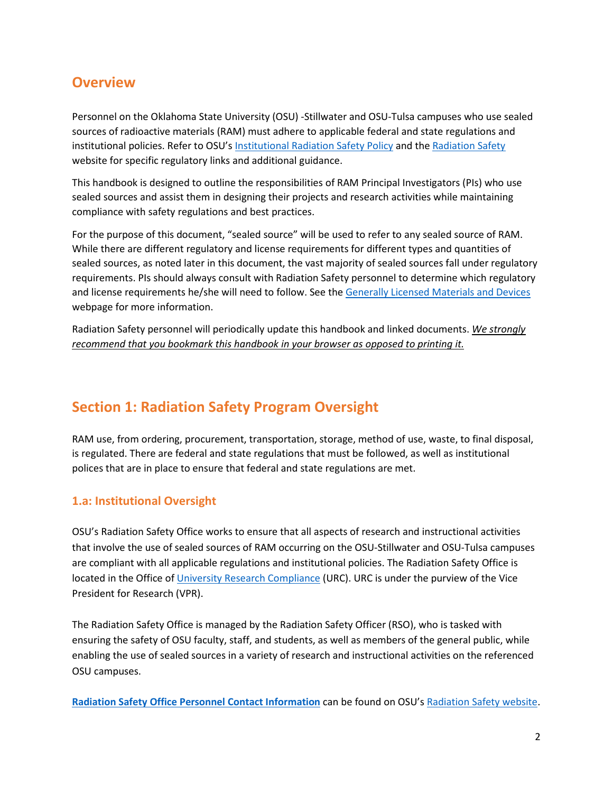## <span id="page-1-0"></span>**Overview**

Personnel on the Oklahoma State University (OSU) -Stillwater and OSU-Tulsa campuses who use sealed sources of radioactive materials (RAM) must adhere to applicable federal and state regulations and institutional policies. Refer to OSU'[s Institutional Radiation Safety Policy](https://stillwater.sharepoint.okstate.edu/Policies/Shared%20Documents/Institutional%20Radiation%20Safety.pdf) and the [Radiation Safety](http://compliance.okstate.edu/rso/rso-index) website for specific regulatory links and additional guidance.

This handbook is designed to outline the responsibilities of RAM Principal Investigators (PIs) who use sealed sources and assist them in designing their projects and research activities while maintaining compliance with safety regulations and best practices.

For the purpose of this document, "sealed source" will be used to refer to any sealed source of RAM. While there are different regulatory and license requirements for different types and quantities of sealed sources, as noted later in this document, the vast majority of sealed sources fall under regulatory requirements. PIs should always consult with Radiation Safety personnel to determine which regulatory and license requirements he/she will need to follow. See the [Generally Licensed Materials and Devices](http://compliance.okstate.edu/rso/radiation-safety-generally-licensed-materials-and-devices) webpage for more information.

Radiation Safety personnel will periodically update this handbook and linked documents. *We strongly recommend that you bookmark this handbook in your browser as opposed to printing it.*

## <span id="page-1-1"></span>**Section 1: Radiation Safety Program Oversight**

RAM use, from ordering, procurement, transportation, storage, method of use, waste, to final disposal, is regulated. There are federal and state regulations that must be followed, as well as institutional polices that are in place to ensure that federal and state regulations are met.

### <span id="page-1-2"></span>**1.a: Institutional Oversight**

OSU's Radiation Safety Office works to ensure that all aspects of research and instructional activities that involve the use of sealed sources of RAM occurring on the OSU-Stillwater and OSU-Tulsa campuses are compliant with all applicable regulations and institutional policies. The Radiation Safety Office is located in the Office o[f University Research Compliance](http://compliance.okstate.edu/) (URC). URC is under the purview of the Vice President for Research (VPR).

The Radiation Safety Office is managed by the Radiation Safety Officer (RSO), who is tasked with ensuring the safety of OSU faculty, staff, and students, as well as members of the general public, while enabling the use of sealed sources in a variety of research and instructional activities on the referenced OSU campuses.

**[Radiation Safety Office Personnel Contact Information](http://compliance.okstate.edu/rso/rso-contacts)** can be found on OSU'[s Radiation Safety website.](http://compliance.okstate.edu/rso/rso-index)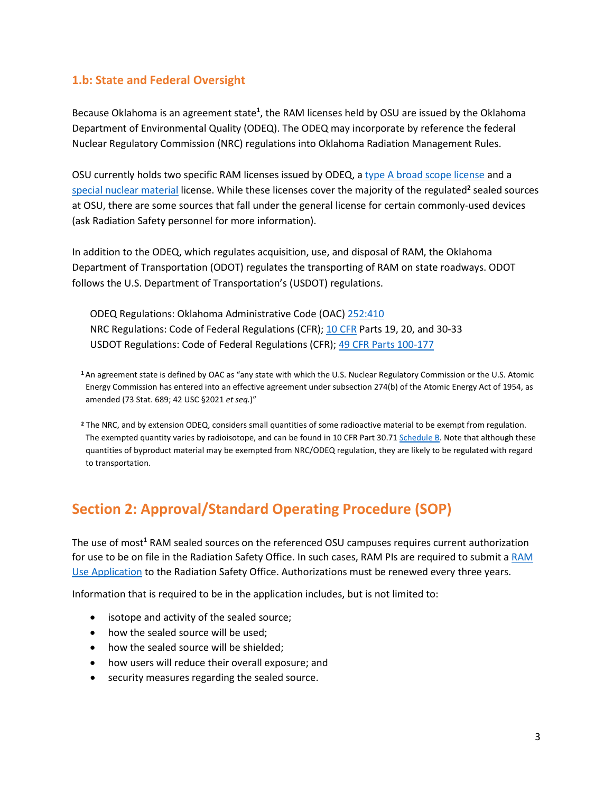#### <span id="page-2-0"></span>**1.b: State and Federal Oversight**

Because Oklahoma is an agreement state**<sup>1</sup>** , the RAM licenses held by OSU are issued by the Oklahoma Department of Environmental Quality (ODEQ). The ODEQ may incorporate by reference the federal Nuclear Regulatory Commission (NRC) regulations into Oklahoma Radiation Management Rules.

OSU currently holds two specific RAM licenses issued by ODEQ, [a type A broad scope license](http://www.nrc.gov/reading-rm/doc-collections/cfr/part033/part033-0011.html) and a [special nuclear material](http://www.nrc.gov/materials/sp-nucmaterials.html) license. While these licenses cover the majority of the regulated**<sup>2</sup>** sealed sources at OSU, there are some sources that fall under the general license for certain commonly-used devices (ask Radiation Safety personnel for more information).

In addition to the ODEQ, which regulates acquisition, use, and disposal of RAM, the Oklahoma Department of Transportation (ODOT) regulates the transporting of RAM on state roadways. ODOT follows the U.S. Department of Transportation's (USDOT) regulations.

ODEQ Regulations: Oklahoma Administrative Code (OAC) [252:410](http://www.deq.state.ok.us/rules/410.pdf)  NRC Regulations: Code of Federal Regulations (CFR); [10 CFR](http://www.nrc.gov/reading-rm/doc-collections/cfr/) Parts 19, 20, and 30-33 USDOT Regulations: Code of Federal Regulations (CFR); [49 CFR Parts 100-177](http://www.ecfr.gov/cgi-bin/text-idx?SID=2d4175483213928625df52f3c52369de&mc=true&tpl=/ecfrbrowse/Title49/49cfrv2_02.tpl#0)

**<sup>1</sup>**An agreement state is defined by OAC as "any state with which the U.S. Nuclear Regulatory Commission or the U.S. Atomic Energy Commission has entered into an effective agreement under subsection 274(b) of the Atomic Energy Act of 1954, as amended (73 Stat. 689; 42 USC §2021 *et seq.*)"

**<sup>2</sup>** The NRC, and by extension ODEQ, considers small quantities of some radioactive material to be exempt from regulation. The exempted quantity varies by radioisotope, and can be found in 10 CFR Part 30.7[1 Schedule B.](http://www.nrc.gov/reading-rm/doc-collections/cfr/part030/part030-0071.html) Note that although these quantities of byproduct material may be exempted from NRC/ODEQ regulation, they are likely to be regulated with regard to transportation.

## <span id="page-2-1"></span>**Section 2: Approval/Standard Operating Procedure (SOP)**

The use of most<sup>1</sup> RAM sealed sources on the referenced OSU campuses requires current authorization for use to be on file in the Radiation Safety Office. In such cases, RAM PIs are required to submit a [RAM](http://compliance.okstate.edu/sites/default/files/rso_docs/RAM%20Use%20Application.pdf)  [Use Application](http://compliance.okstate.edu/sites/default/files/rso_docs/RAM%20Use%20Application.pdf) to the Radiation Safety Office. Authorizations must be renewed every three years.

Information that is required to be in the application includes, but is not limited to:

- isotope and activity of the sealed source;
- how the sealed source will be used;
- how the sealed source will be shielded;
- how users will reduce their overall exposure; and
- security measures regarding the sealed source.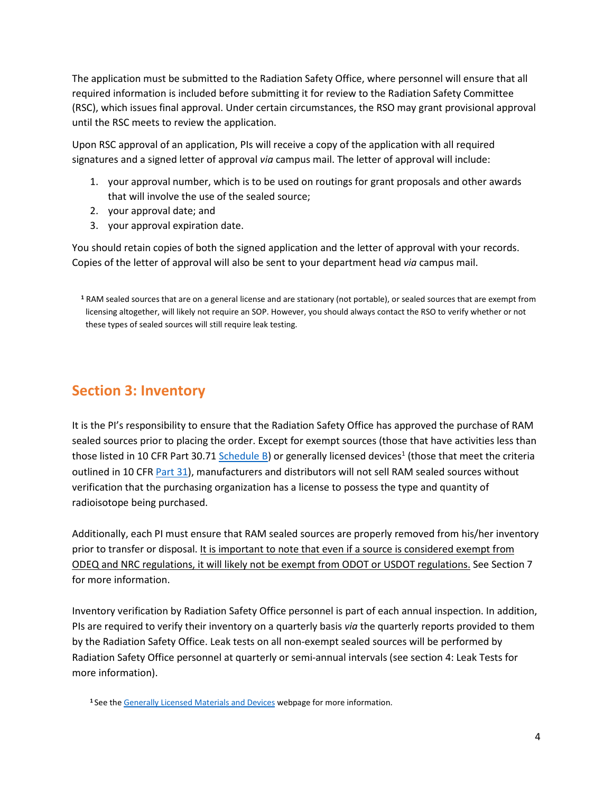The application must be submitted to the Radiation Safety Office, where personnel will ensure that all required information is included before submitting it for review to the Radiation Safety Committee (RSC), which issues final approval. Under certain circumstances, the RSO may grant provisional approval until the RSC meets to review the application.

Upon RSC approval of an application, PIs will receive a copy of the application with all required signatures and a signed letter of approval *via* campus mail. The letter of approval will include:

- 1. your approval number, which is to be used on routings for grant proposals and other awards that will involve the use of the sealed source;
- 2. your approval date; and
- 3. your approval expiration date.

You should retain copies of both the signed application and the letter of approval with your records. Copies of the letter of approval will also be sent to your department head *via* campus mail.

**<sup>1</sup>** RAM sealed sources that are on a general license and are stationary (not portable), or sealed sources that are exempt from licensing altogether, will likely not require an SOP. However, you should always contact the RSO to verify whether or not these types of sealed sources will still require leak testing.

## <span id="page-3-0"></span>**Section 3: Inventory**

It is the PI's responsibility to ensure that the Radiation Safety Office has approved the purchase of RAM sealed sources prior to placing the order. Except for exempt sources (those that have activities less than those listed in 10 CFR Part 30.7[1 Schedule B\)](http://www.nrc.gov/reading-rm/doc-collections/cfr/part030/part030-0071.html) or generally licensed devices<sup>1</sup> (those that meet the criteria outlined in 10 CF[R Part 31\)](http://www.nrc.gov/reading-rm/doc-collections/cfr/part031/), manufacturers and distributors will not sell RAM sealed sources without verification that the purchasing organization has a license to possess the type and quantity of radioisotope being purchased.

Additionally, each PI must ensure that RAM sealed sources are properly removed from his/her inventory prior to transfer or disposal. It is important to note that even if a source is considered exempt from ODEQ and NRC regulations, it will likely not be exempt from ODOT or USDOT regulations. See Section 7 for more information.

Inventory verification by Radiation Safety Office personnel is part of each annual inspection. In addition, PIs are required to verify their inventory on a quarterly basis *via* the quarterly reports provided to them by the Radiation Safety Office. Leak tests on all non-exempt sealed sources will be performed by Radiation Safety Office personnel at quarterly or semi-annual intervals (see section 4: Leak Tests for more information).

**<sup>1</sup>** See the [Generally Licensed Materials and Devices](http://compliance.okstate.edu/rso/radiation-safety-generally-licensed-materials-and-devices) webpage for more information.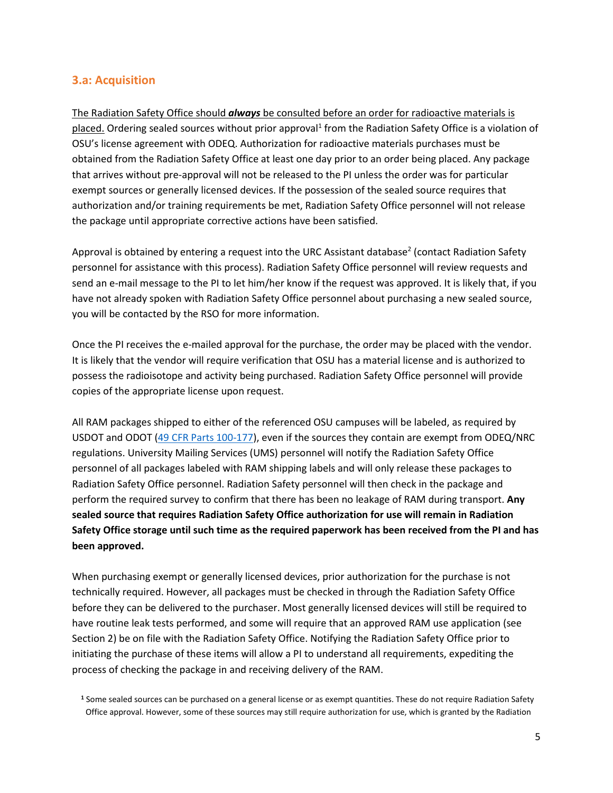#### <span id="page-4-0"></span>**3.a: Acquisition**

The Radiation Safety Office should *always* be consulted before an order for radioactive materials is placed. Ordering sealed sources without prior approval<sup>1</sup> from the Radiation Safety Office is a violation of OSU's license agreement with ODEQ. Authorization for radioactive materials purchases must be obtained from the Radiation Safety Office at least one day prior to an order being placed. Any package that arrives without pre-approval will not be released to the PI unless the order was for particular exempt sources or generally licensed devices. If the possession of the sealed source requires that authorization and/or training requirements be met, Radiation Safety Office personnel will not release the package until appropriate corrective actions have been satisfied.

Approval is obtained by entering a request into the URC Assistant database<sup>2</sup> (contact Radiation Safety personnel for assistance with this process). Radiation Safety Office personnel will review requests and send an e-mail message to the PI to let him/her know if the request was approved. It is likely that, if you have not already spoken with Radiation Safety Office personnel about purchasing a new sealed source, you will be contacted by the RSO for more information.

Once the PI receives the e-mailed approval for the purchase, the order may be placed with the vendor. It is likely that the vendor will require verification that OSU has a material license and is authorized to possess the radioisotope and activity being purchased. Radiation Safety Office personnel will provide copies of the appropriate license upon request.

All RAM packages shipped to either of the referenced OSU campuses will be labeled, as required by USDOT and ODOT [\(49 CFR Parts 100-177\)](http://www.ecfr.gov/cgi-bin/text-idx?SID=2d4175483213928625df52f3c52369de&mc=true&tpl=/ecfrbrowse/Title49/49cfrv2_02.tpl#0), even if the sources they contain are exempt from ODEQ/NRC regulations. University Mailing Services (UMS) personnel will notify the Radiation Safety Office personnel of all packages labeled with RAM shipping labels and will only release these packages to Radiation Safety Office personnel. Radiation Safety personnel will then check in the package and perform the required survey to confirm that there has been no leakage of RAM during transport. **Any sealed source that requires Radiation Safety Office authorization for use will remain in Radiation Safety Office storage until such time as the required paperwork has been received from the PI and has been approved.**

When purchasing exempt or generally licensed devices, prior authorization for the purchase is not technically required. However, all packages must be checked in through the Radiation Safety Office before they can be delivered to the purchaser. Most generally licensed devices will still be required to have routine leak tests performed, and some will require that an approved RAM use application (see Section 2) be on file with the Radiation Safety Office. Notifying the Radiation Safety Office prior to initiating the purchase of these items will allow a PI to understand all requirements, expediting the process of checking the package in and receiving delivery of the RAM.

**<sup>1</sup>** Some sealed sources can be purchased on a general license or as exempt quantities. These do not require Radiation Safety Office approval. However, some of these sources may still require authorization for use, which is granted by the Radiation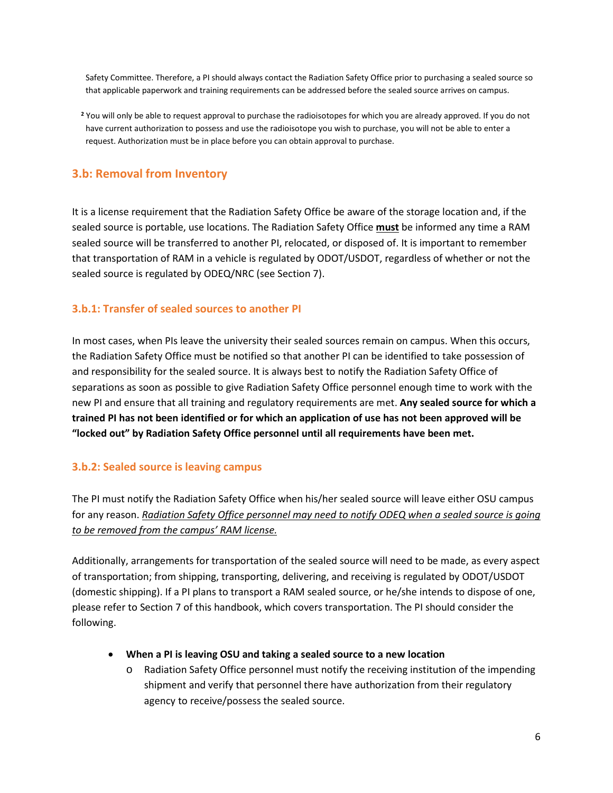Safety Committee. Therefore, a PI should always contact the Radiation Safety Office prior to purchasing a sealed source so that applicable paperwork and training requirements can be addressed before the sealed source arrives on campus.

**<sup>2</sup>** You will only be able to request approval to purchase the radioisotopes for which you are already approved. If you do not have current authorization to possess and use the radioisotope you wish to purchase, you will not be able to enter a request. Authorization must be in place before you can obtain approval to purchase.

## <span id="page-5-0"></span>**3.b: Removal from Inventory**

It is a license requirement that the Radiation Safety Office be aware of the storage location and, if the sealed source is portable, use locations. The Radiation Safety Office **must** be informed any time a RAM sealed source will be transferred to another PI, relocated, or disposed of. It is important to remember that transportation of RAM in a vehicle is regulated by ODOT/USDOT, regardless of whether or not the sealed source is regulated by ODEQ/NRC (see Section 7).

#### <span id="page-5-1"></span>**3.b.1: Transfer of sealed sources to another PI**

In most cases, when PIs leave the university their sealed sources remain on campus. When this occurs, the Radiation Safety Office must be notified so that another PI can be identified to take possession of and responsibility for the sealed source. It is always best to notify the Radiation Safety Office of separations as soon as possible to give Radiation Safety Office personnel enough time to work with the new PI and ensure that all training and regulatory requirements are met. **Any sealed source for which a trained PI has not been identified or for which an application of use has not been approved will be "locked out" by Radiation Safety Office personnel until all requirements have been met.**

#### <span id="page-5-2"></span>**3.b.2: Sealed source is leaving campus**

The PI must notify the Radiation Safety Office when his/her sealed source will leave either OSU campus for any reason. *Radiation Safety Office personnel may need to notify ODEQ when a sealed source is going to be removed from the campus' RAM license.*

Additionally, arrangements for transportation of the sealed source will need to be made, as every aspect of transportation; from shipping, transporting, delivering, and receiving is regulated by ODOT/USDOT (domestic shipping). If a PI plans to transport a RAM sealed source, or he/she intends to dispose of one, please refer to Section 7 of this handbook, which covers transportation. The PI should consider the following.

- **When a PI is leaving OSU and taking a sealed source to a new location**
	- o Radiation Safety Office personnel must notify the receiving institution of the impending shipment and verify that personnel there have authorization from their regulatory agency to receive/possess the sealed source.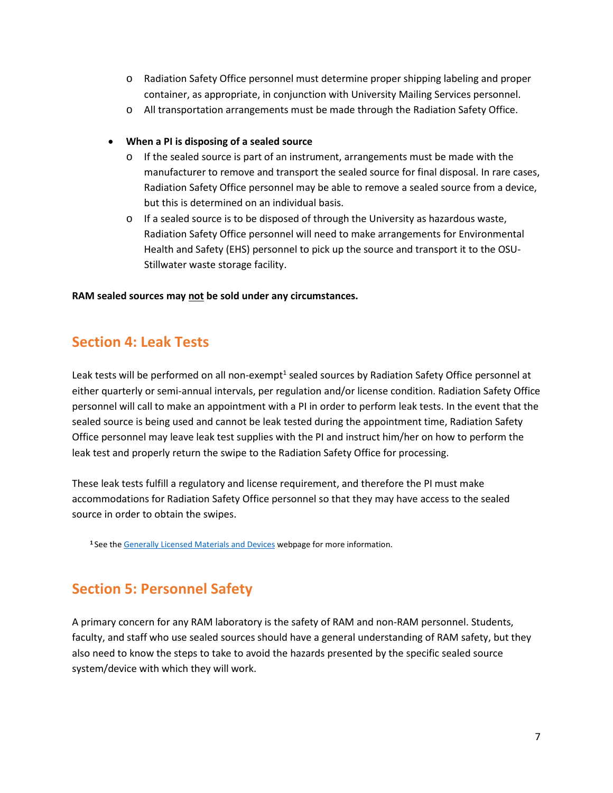- o Radiation Safety Office personnel must determine proper shipping labeling and proper container, as appropriate, in conjunction with University Mailing Services personnel.
- o All transportation arrangements must be made through the Radiation Safety Office.
- **When a PI is disposing of a sealed source**
	- o If the sealed source is part of an instrument, arrangements must be made with the manufacturer to remove and transport the sealed source for final disposal. In rare cases, Radiation Safety Office personnel may be able to remove a sealed source from a device, but this is determined on an individual basis.
	- $\circ$  If a sealed source is to be disposed of through the University as hazardous waste, Radiation Safety Office personnel will need to make arrangements for Environmental Health and Safety (EHS) personnel to pick up the source and transport it to the OSU-Stillwater waste storage facility.

**RAM sealed sources may not be sold under any circumstances.** 

## <span id="page-6-0"></span>**Section 4: Leak Tests**

Leak tests will be performed on all non-exempt<sup>1</sup> sealed sources by Radiation Safety Office personnel at either quarterly or semi-annual intervals, per regulation and/or license condition. Radiation Safety Office personnel will call to make an appointment with a PI in order to perform leak tests. In the event that the sealed source is being used and cannot be leak tested during the appointment time, Radiation Safety Office personnel may leave leak test supplies with the PI and instruct him/her on how to perform the leak test and properly return the swipe to the Radiation Safety Office for processing.

These leak tests fulfill a regulatory and license requirement, and therefore the PI must make accommodations for Radiation Safety Office personnel so that they may have access to the sealed source in order to obtain the swipes.

**<sup>1</sup>** See the [Generally Licensed Materials and Devices](http://compliance.okstate.edu/rso/radiation-safety-generally-licensed-materials-and-devices) webpage for more information.

## <span id="page-6-1"></span>**Section 5: Personnel Safety**

A primary concern for any RAM laboratory is the safety of RAM and non-RAM personnel. Students, faculty, and staff who use sealed sources should have a general understanding of RAM safety, but they also need to know the steps to take to avoid the hazards presented by the specific sealed source system/device with which they will work.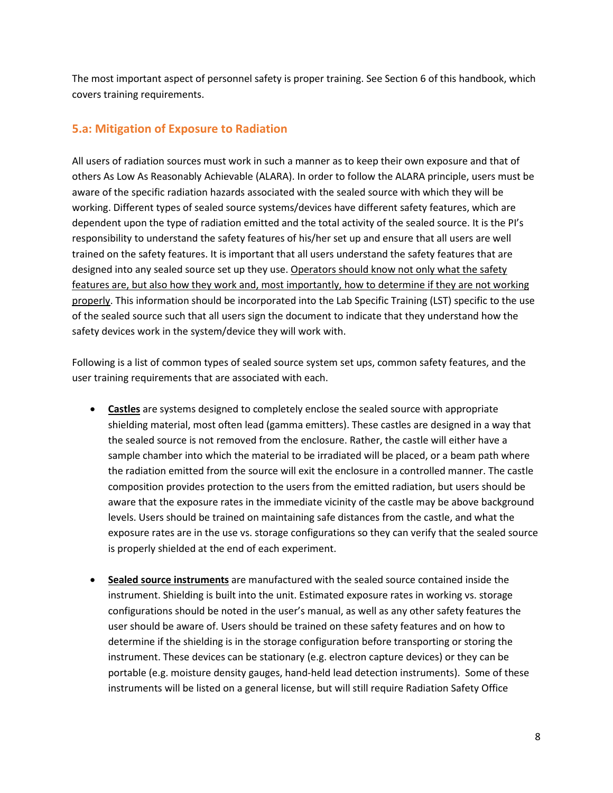The most important aspect of personnel safety is proper training. See Section 6 of this handbook, which covers training requirements.

#### <span id="page-7-0"></span>**5.a: Mitigation of Exposure to Radiation**

All users of radiation sources must work in such a manner as to keep their own exposure and that of others As Low As Reasonably Achievable (ALARA). In order to follow the ALARA principle, users must be aware of the specific radiation hazards associated with the sealed source with which they will be working. Different types of sealed source systems/devices have different safety features, which are dependent upon the type of radiation emitted and the total activity of the sealed source. It is the PI's responsibility to understand the safety features of his/her set up and ensure that all users are well trained on the safety features. It is important that all users understand the safety features that are designed into any sealed source set up they use. Operators should know not only what the safety features are, but also how they work and, most importantly, how to determine if they are not working properly. This information should be incorporated into the Lab Specific Training (LST) specific to the use of the sealed source such that all users sign the document to indicate that they understand how the safety devices work in the system/device they will work with.

Following is a list of common types of sealed source system set ups, common safety features, and the user training requirements that are associated with each.

- **Castles** are systems designed to completely enclose the sealed source with appropriate shielding material, most often lead (gamma emitters). These castles are designed in a way that the sealed source is not removed from the enclosure. Rather, the castle will either have a sample chamber into which the material to be irradiated will be placed, or a beam path where the radiation emitted from the source will exit the enclosure in a controlled manner. The castle composition provides protection to the users from the emitted radiation, but users should be aware that the exposure rates in the immediate vicinity of the castle may be above background levels. Users should be trained on maintaining safe distances from the castle, and what the exposure rates are in the use vs. storage configurations so they can verify that the sealed source is properly shielded at the end of each experiment.
- **Sealed source instruments** are manufactured with the sealed source contained inside the instrument. Shielding is built into the unit. Estimated exposure rates in working vs. storage configurations should be noted in the user's manual, as well as any other safety features the user should be aware of. Users should be trained on these safety features and on how to determine if the shielding is in the storage configuration before transporting or storing the instrument. These devices can be stationary (e.g. electron capture devices) or they can be portable (e.g. moisture density gauges, hand-held lead detection instruments). Some of these instruments will be listed on a general license, but will still require Radiation Safety Office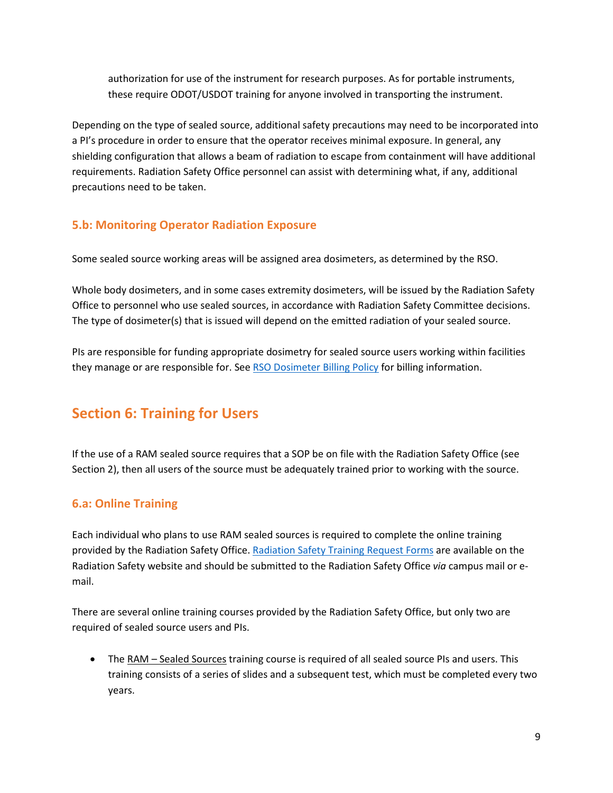authorization for use of the instrument for research purposes. As for portable instruments, these require ODOT/USDOT training for anyone involved in transporting the instrument.

Depending on the type of sealed source, additional safety precautions may need to be incorporated into a PI's procedure in order to ensure that the operator receives minimal exposure. In general, any shielding configuration that allows a beam of radiation to escape from containment will have additional requirements. Radiation Safety Office personnel can assist with determining what, if any, additional precautions need to be taken.

## <span id="page-8-0"></span>**5.b: Monitoring Operator Radiation Exposure**

Some sealed source working areas will be assigned area dosimeters, as determined by the RSO.

Whole body dosimeters, and in some cases extremity dosimeters, will be issued by the Radiation Safety Office to personnel who use sealed sources, in accordance with Radiation Safety Committee decisions. The type of dosimeter(s) that is issued will depend on the emitted radiation of your sealed source.

PIs are responsible for funding appropriate dosimetry for sealed source users working within facilities they manage or are responsible for. Se[e RSO Dosimeter Billing Policy](http://compliance.okstate.edu/sites/default/files/rso_docs/RSO%20Dosimeter%20Billing%20Policy.pdf) for billing information.

## <span id="page-8-1"></span>**Section 6: Training for Users**

If the use of a RAM sealed source requires that a SOP be on file with the Radiation Safety Office (see Section 2), then all users of the source must be adequately trained prior to working with the source.

### <span id="page-8-2"></span>**6.a: Online Training**

Each individual who plans to use RAM sealed sources is required to complete the online training provided by the Radiation Safety Office. [Radiation Safety Training Request Forms](http://compliance.okstate.edu/sites/default/files/rso_docs/Radiation%20Safety%20Training%20Request.pdf) are available on the Radiation Safety website and should be submitted to the Radiation Safety Office *via* campus mail or email.

There are several online training courses provided by the Radiation Safety Office, but only two are required of sealed source users and PIs.

• The RAM – Sealed Sources training course is required of all sealed source PIs and users. This training consists of a series of slides and a subsequent test, which must be completed every two years.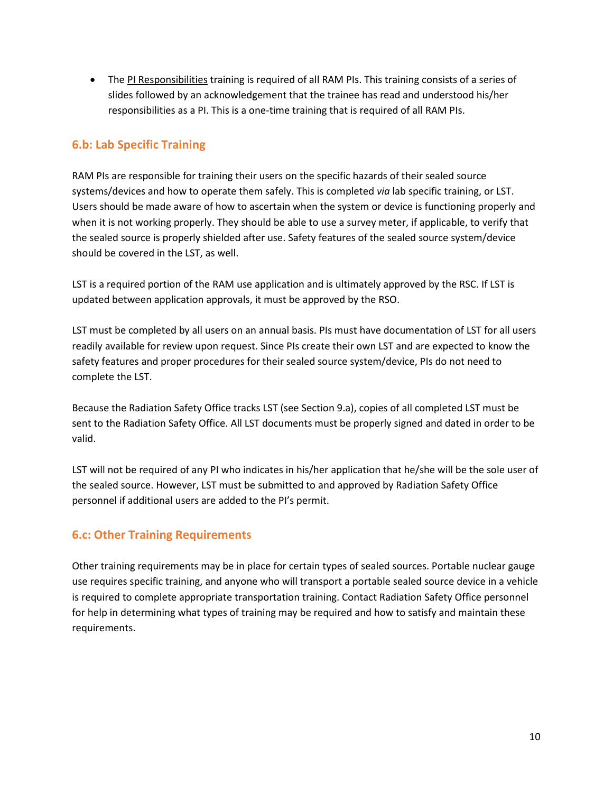• The PI Responsibilities training is required of all RAM PIs. This training consists of a series of slides followed by an acknowledgement that the trainee has read and understood his/her responsibilities as a PI. This is a one-time training that is required of all RAM PIs.

### <span id="page-9-0"></span>**6.b: Lab Specific Training**

RAM PIs are responsible for training their users on the specific hazards of their sealed source systems/devices and how to operate them safely. This is completed *via* lab specific training, or LST. Users should be made aware of how to ascertain when the system or device is functioning properly and when it is not working properly. They should be able to use a survey meter, if applicable, to verify that the sealed source is properly shielded after use. Safety features of the sealed source system/device should be covered in the LST, as well.

LST is a required portion of the RAM use application and is ultimately approved by the RSC. If LST is updated between application approvals, it must be approved by the RSO.

LST must be completed by all users on an annual basis. PIs must have documentation of LST for all users readily available for review upon request. Since PIs create their own LST and are expected to know the safety features and proper procedures for their sealed source system/device, PIs do not need to complete the LST.

Because the Radiation Safety Office tracks LST (see Section 9.a), copies of all completed LST must be sent to the Radiation Safety Office. All LST documents must be properly signed and dated in order to be valid.

LST will not be required of any PI who indicates in his/her application that he/she will be the sole user of the sealed source. However, LST must be submitted to and approved by Radiation Safety Office personnel if additional users are added to the PI's permit.

### <span id="page-9-1"></span>**6.c: Other Training Requirements**

Other training requirements may be in place for certain types of sealed sources. Portable nuclear gauge use requires specific training, and anyone who will transport a portable sealed source device in a vehicle is required to complete appropriate transportation training. Contact Radiation Safety Office personnel for help in determining what types of training may be required and how to satisfy and maintain these requirements.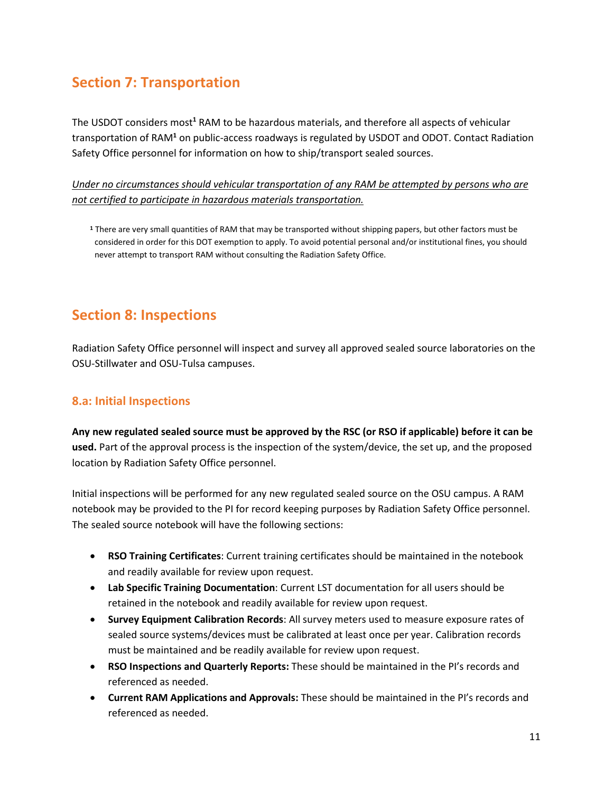# <span id="page-10-0"></span>**Section 7: Transportation**

The USDOT considers most**<sup>1</sup>** RAM to be hazardous materials, and therefore all aspects of vehicular transportation of RAM**<sup>1</sup>** on public-access roadways is regulated by USDOT and ODOT. Contact Radiation Safety Office personnel for information on how to ship/transport sealed sources.

*Under no circumstances should vehicular transportation of any RAM be attempted by persons who are not certified to participate in hazardous materials transportation.* 

**<sup>1</sup>** There are very small quantities of RAM that may be transported without shipping papers, but other factors must be considered in order for this DOT exemption to apply. To avoid potential personal and/or institutional fines, you should never attempt to transport RAM without consulting the Radiation Safety Office.

## <span id="page-10-1"></span>**Section 8: Inspections**

Radiation Safety Office personnel will inspect and survey all approved sealed source laboratories on the OSU-Stillwater and OSU-Tulsa campuses.

### <span id="page-10-2"></span>**8.a: Initial Inspections**

**Any new regulated sealed source must be approved by the RSC (or RSO if applicable) before it can be used.** Part of the approval process is the inspection of the system/device, the set up, and the proposed location by Radiation Safety Office personnel.

Initial inspections will be performed for any new regulated sealed source on the OSU campus. A RAM notebook may be provided to the PI for record keeping purposes by Radiation Safety Office personnel. The sealed source notebook will have the following sections:

- **RSO Training Certificates**: Current training certificates should be maintained in the notebook and readily available for review upon request.
- **Lab Specific Training Documentation**: Current LST documentation for all users should be retained in the notebook and readily available for review upon request.
- **Survey Equipment Calibration Records**: All survey meters used to measure exposure rates of sealed source systems/devices must be calibrated at least once per year. Calibration records must be maintained and be readily available for review upon request.
- **RSO Inspections and Quarterly Reports:** These should be maintained in the PI's records and referenced as needed.
- **Current RAM Applications and Approvals:** These should be maintained in the PI's records and referenced as needed.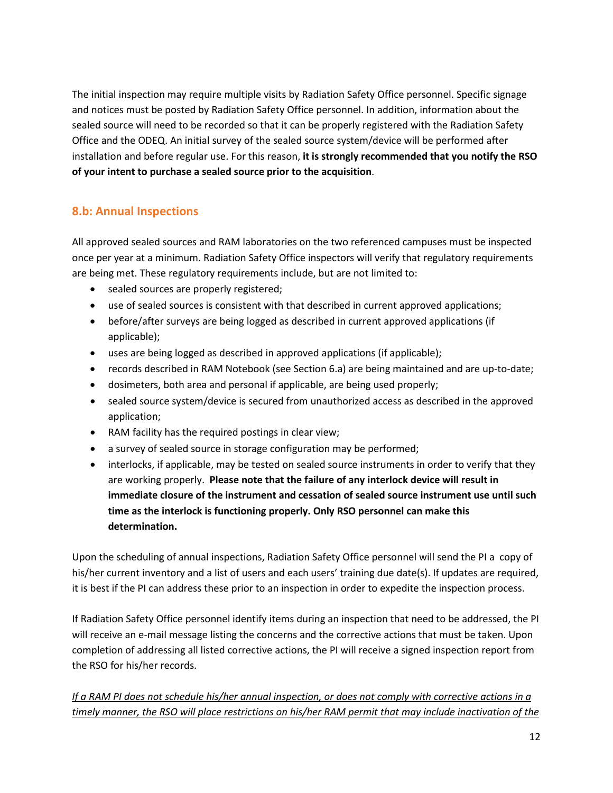The initial inspection may require multiple visits by Radiation Safety Office personnel. Specific signage and notices must be posted by Radiation Safety Office personnel. In addition, information about the sealed source will need to be recorded so that it can be properly registered with the Radiation Safety Office and the ODEQ. An initial survey of the sealed source system/device will be performed after installation and before regular use. For this reason, **it is strongly recommended that you notify the RSO of your intent to purchase a sealed source prior to the acquisition**.

### <span id="page-11-0"></span>**8.b: Annual Inspections**

All approved sealed sources and RAM laboratories on the two referenced campuses must be inspected once per year at a minimum. Radiation Safety Office inspectors will verify that regulatory requirements are being met. These regulatory requirements include, but are not limited to:

- sealed sources are properly registered;
- use of sealed sources is consistent with that described in current approved applications;
- before/after surveys are being logged as described in current approved applications (if applicable);
- uses are being logged as described in approved applications (if applicable);
- records described in RAM Notebook (see Section 6.a) are being maintained and are up-to-date;
- dosimeters, both area and personal if applicable, are being used properly;
- sealed source system/device is secured from unauthorized access as described in the approved application;
- RAM facility has the required postings in clear view;
- a survey of sealed source in storage configuration may be performed;
- interlocks, if applicable, may be tested on sealed source instruments in order to verify that they are working properly. **Please note that the failure of any interlock device will result in immediate closure of the instrument and cessation of sealed source instrument use until such time as the interlock is functioning properly. Only RSO personnel can make this determination.**

Upon the scheduling of annual inspections, Radiation Safety Office personnel will send the PI a copy of his/her current inventory and a list of users and each users' training due date(s). If updates are required, it is best if the PI can address these prior to an inspection in order to expedite the inspection process.

If Radiation Safety Office personnel identify items during an inspection that need to be addressed, the PI will receive an e-mail message listing the concerns and the corrective actions that must be taken. Upon completion of addressing all listed corrective actions, the PI will receive a signed inspection report from the RSO for his/her records.

*If a RAM PI does not schedule his/her annual inspection, or does not comply with corrective actions in a timely manner, the RSO will place restrictions on his/her RAM permit that may include inactivation of the*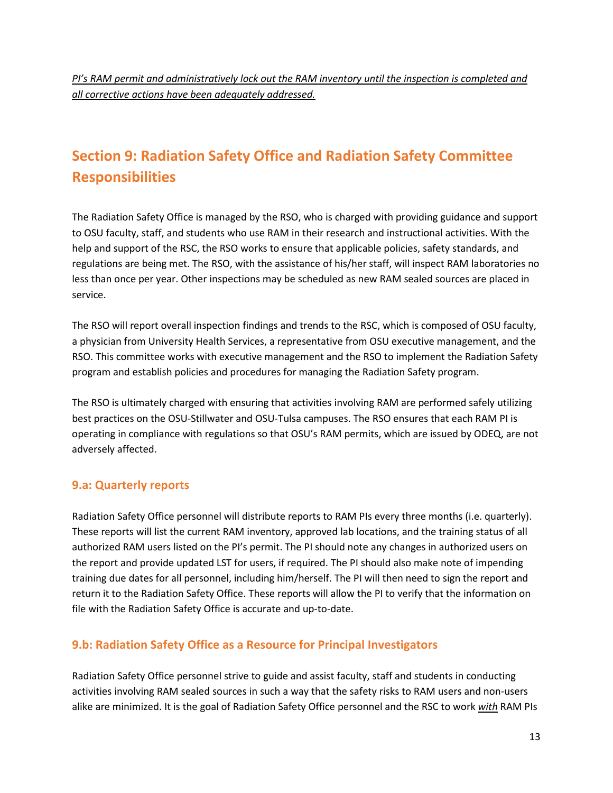# <span id="page-12-0"></span>**Section 9: Radiation Safety Office and Radiation Safety Committee Responsibilities**

The Radiation Safety Office is managed by the RSO, who is charged with providing guidance and support to OSU faculty, staff, and students who use RAM in their research and instructional activities. With the help and support of the RSC, the RSO works to ensure that applicable policies, safety standards, and regulations are being met. The RSO, with the assistance of his/her staff, will inspect RAM laboratories no less than once per year. Other inspections may be scheduled as new RAM sealed sources are placed in service.

The RSO will report overall inspection findings and trends to the RSC, which is composed of OSU faculty, a physician from University Health Services, a representative from OSU executive management, and the RSO. This committee works with executive management and the RSO to implement the Radiation Safety program and establish policies and procedures for managing the Radiation Safety program.

The RSO is ultimately charged with ensuring that activities involving RAM are performed safely utilizing best practices on the OSU-Stillwater and OSU-Tulsa campuses. The RSO ensures that each RAM PI is operating in compliance with regulations so that OSU's RAM permits, which are issued by ODEQ, are not adversely affected.

### <span id="page-12-1"></span>**9.a: Quarterly reports**

Radiation Safety Office personnel will distribute reports to RAM PIs every three months (i.e. quarterly). These reports will list the current RAM inventory, approved lab locations, and the training status of all authorized RAM users listed on the PI's permit. The PI should note any changes in authorized users on the report and provide updated LST for users, if required. The PI should also make note of impending training due dates for all personnel, including him/herself. The PI will then need to sign the report and return it to the Radiation Safety Office. These reports will allow the PI to verify that the information on file with the Radiation Safety Office is accurate and up-to-date.

### <span id="page-12-2"></span>**9.b: Radiation Safety Office as a Resource for Principal Investigators**

Radiation Safety Office personnel strive to guide and assist faculty, staff and students in conducting activities involving RAM sealed sources in such a way that the safety risks to RAM users and non-users alike are minimized. It is the goal of Radiation Safety Office personnel and the RSC to work *with* RAM PIs